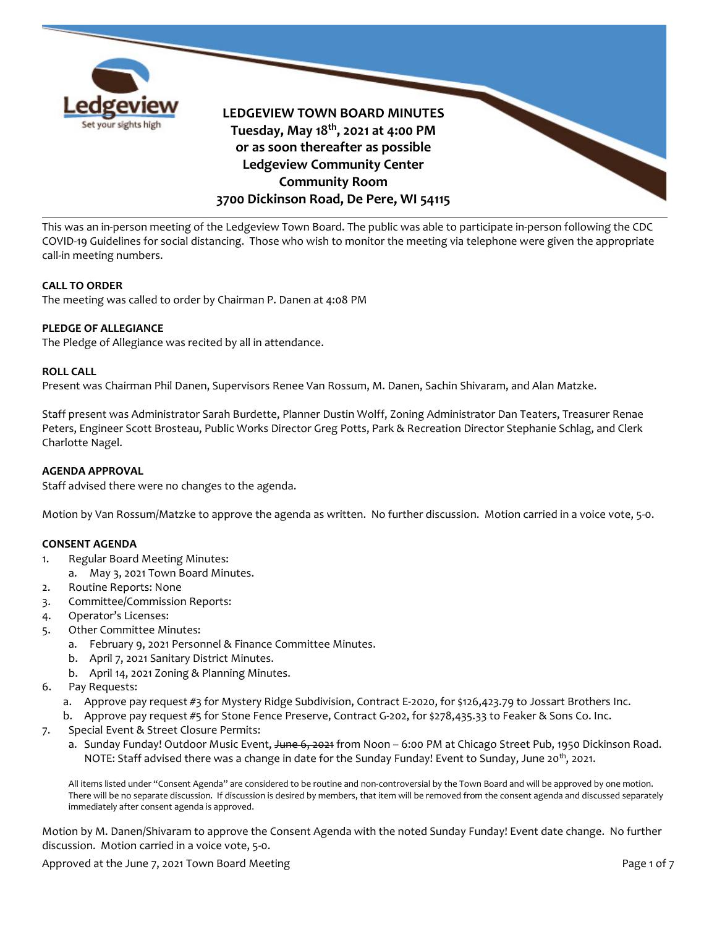

This was an in-person meeting of the Ledgeview Town Board. The public was able to participate in-person following the CDC COVID-19 Guidelines for social distancing. Those who wish to monitor the meeting via telephone were given the appropriate call-in meeting numbers.

# **CALL TO ORDER**

The meeting was called to order by Chairman P. Danen at 4:08 PM

# **PLEDGE OF ALLEGIANCE**

The Pledge of Allegiance was recited by all in attendance.

### **ROLL CALL**

Present was Chairman Phil Danen, Supervisors Renee Van Rossum, M. Danen, Sachin Shivaram, and Alan Matzke.

Staff present was Administrator Sarah Burdette, Planner Dustin Wolff, Zoning Administrator Dan Teaters, Treasurer Renae Peters, Engineer Scott Brosteau, Public Works Director Greg Potts, Park & Recreation Director Stephanie Schlag, and Clerk Charlotte Nagel.

# **AGENDA APPROVAL**

Staff advised there were no changes to the agenda.

Motion by Van Rossum/Matzke to approve the agenda as written. No further discussion. Motion carried in a voice vote, 5-0.

# **CONSENT AGENDA**

- 1. Regular Board Meeting Minutes:
- a. May 3, 2021 Town Board Minutes.
- 2. Routine Reports: None
- 3. Committee/Commission Reports:
- 4. Operator's Licenses:
- 5. Other Committee Minutes:
	- a. February 9, 2021 Personnel & Finance Committee Minutes.
	- b. April 7, 2021 Sanitary District Minutes.
	- b. April 14, 2021 Zoning & Planning Minutes.
- 6. Pay Requests:
	- a. Approve pay request #3 for Mystery Ridge Subdivision, Contract E-2020, for \$126,423.79 to Jossart Brothers Inc.
	- b. Approve pay request #5 for Stone Fence Preserve, Contract G-202, for \$278,435.33 to Feaker & Sons Co. Inc.
- 7. Special Event & Street Closure Permits:
	- a. Sunday Funday! Outdoor Music Event, June 6, 2021 from Noon 6:00 PM at Chicago Street Pub, 1950 Dickinson Road. NOTE: Staff advised there was a change in date for the Sunday Funday! Event to Sunday, June 20<sup>th</sup>, 2021.

All items listed under "Consent Agenda" are considered to be routine and non-controversial by the Town Board and will be approved by one motion. There will be no separate discussion. If discussion is desired by members, that item will be removed from the consent agenda and discussed separately immediately after consent agenda is approved.

Motion by M. Danen/Shivaram to approve the Consent Agenda with the noted Sunday Funday! Event date change. No further discussion. Motion carried in a voice vote, 5-0.

Approved at the June 7, 2021 Town Board Meeting Page 1 of 7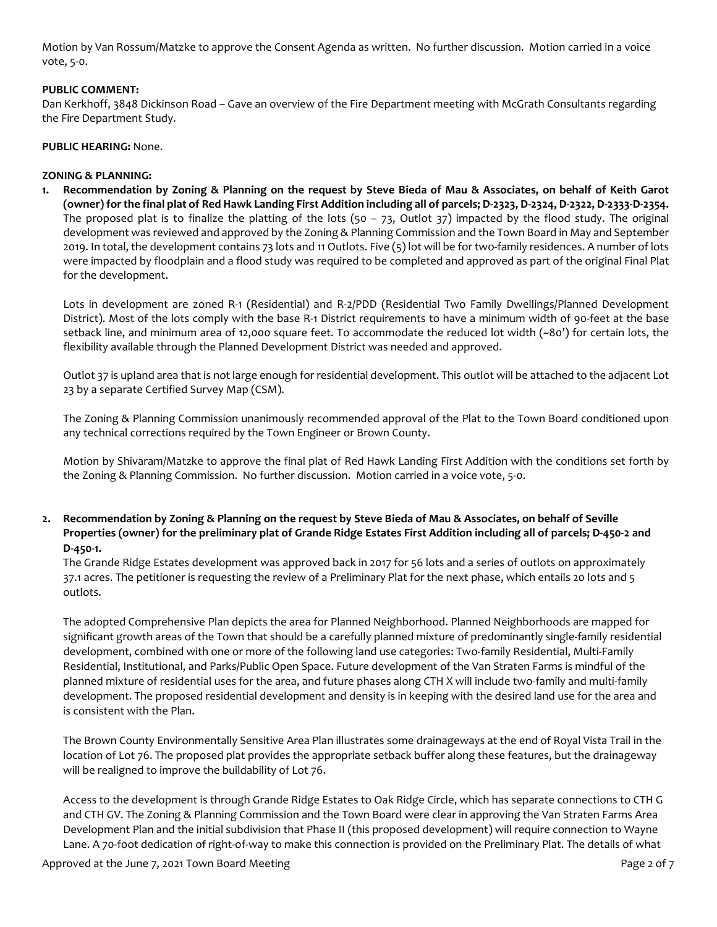Motion by Van Rossum/Matzke to approve the Consent Agenda as written. No further discussion. Motion carried in a voice vote, 5-0.

# **PUBLIC COMMENT:**

Dan Kerkhoff, 3848 Dickinson Road – Gave an overview of the Fire Department meeting with McGrath Consultants regarding the Fire Department Study.

# **PUBLIC HEARING:** None.

### **ZONING & PLANNING:**

**1. Recommendation by Zoning & Planning on the request by Steve Bieda of Mau & Associates, on behalf of Keith Garot (owner) for the final plat of Red Hawk Landing First Addition including all of parcels; D-2323, D-2324, D-2322, D-2333-D-2354.** The proposed plat is to finalize the platting of the lots (50 – 73, Outlot 37) impacted by the flood study. The original development was reviewed and approved by the Zoning & Planning Commission and the Town Board in May and September 2019. In total, the development contains 73 lots and 11 Outlots. Five (5) lot will be for two-family residences. A number of lots were impacted by floodplain and a flood study was required to be completed and approved as part of the original Final Plat for the development.

Lots in development are zoned R-1 (Residential) and R-2/PDD (Residential Two Family Dwellings/Planned Development District). Most of the lots comply with the base R-1 District requirements to have a minimum width of 90-feet at the base setback line, and minimum area of 12,000 square feet. To accommodate the reduced lot width (~80') for certain lots, the flexibility available through the Planned Development District was needed and approved.

Outlot 37 is upland area that is not large enough for residential development. This outlot will be attached to the adjacent Lot 23 by a separate Certified Survey Map (CSM).

The Zoning & Planning Commission unanimously recommended approval of the Plat to the Town Board conditioned upon any technical corrections required by the Town Engineer or Brown County.

Motion by Shivaram/Matzke to approve the final plat of Red Hawk Landing First Addition with the conditions set forth by the Zoning & Planning Commission. No further discussion. Motion carried in a voice vote, 5-0.

# **2. Recommendation by Zoning & Planning on the request by Steve Bieda of Mau & Associates, on behalf of Seville Properties (owner) for the preliminary plat of Grande Ridge Estates First Addition including all of parcels; D-450-2 and D-450-1.**

The Grande Ridge Estates development was approved back in 2017 for 56 lots and a series of outlots on approximately 37.1 acres. The petitioner is requesting the review of a Preliminary Plat for the next phase, which entails 20 lots and 5 outlots.

The adopted Comprehensive Plan depicts the area for Planned Neighborhood. Planned Neighborhoods are mapped for significant growth areas of the Town that should be a carefully planned mixture of predominantly single-family residential development, combined with one or more of the following land use categories: Two-family Residential, Multi-Family Residential, Institutional, and Parks/Public Open Space. Future development of the Van Straten Farms is mindful of the planned mixture of residential uses for the area, and future phases along CTH X will include two-family and multi-family development. The proposed residential development and density is in keeping with the desired land use for the area and is consistent with the Plan.

The Brown County Environmentally Sensitive Area Plan illustrates some drainageways at the end of Royal Vista Trail in the location of Lot 76. The proposed plat provides the appropriate setback buffer along these features, but the drainageway will be realigned to improve the buildability of Lot 76.

Access to the development is through Grande Ridge Estates to Oak Ridge Circle, which has separate connections to CTH G and CTH GV. The Zoning & Planning Commission and the Town Board were clear in approving the Van Straten Farms Area Development Plan and the initial subdivision that Phase II (this proposed development) will require connection to Wayne Lane. A 70-foot dedication of right-of-way to make this connection is provided on the Preliminary Plat. The details of what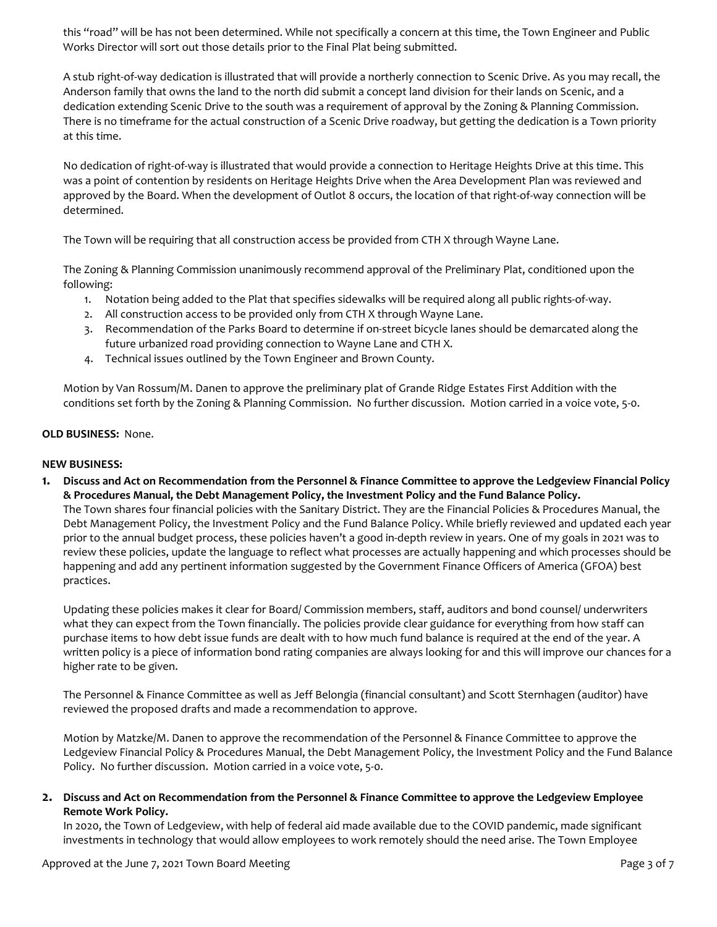this "road" will be has not been determined. While not specifically a concern at this time, the Town Engineer and Public Works Director will sort out those details prior to the Final Plat being submitted.

A stub right-of-way dedication is illustrated that will provide a northerly connection to Scenic Drive. As you may recall, the Anderson family that owns the land to the north did submit a concept land division for their lands on Scenic, and a dedication extending Scenic Drive to the south was a requirement of approval by the Zoning & Planning Commission. There is no timeframe for the actual construction of a Scenic Drive roadway, but getting the dedication is a Town priority at this time.

No dedication of right-of-way is illustrated that would provide a connection to Heritage Heights Drive at this time. This was a point of contention by residents on Heritage Heights Drive when the Area Development Plan was reviewed and approved by the Board. When the development of Outlot 8 occurs, the location of that right-of-way connection will be determined.

The Town will be requiring that all construction access be provided from CTH X through Wayne Lane.

The Zoning & Planning Commission unanimously recommend approval of the Preliminary Plat, conditioned upon the following:

- 1. Notation being added to the Plat that specifies sidewalks will be required along all public rights-of-way.
- 2. All construction access to be provided only from CTH X through Wayne Lane.
- 3. Recommendation of the Parks Board to determine if on-street bicycle lanes should be demarcated along the future urbanized road providing connection to Wayne Lane and CTH X.
- 4. Technical issues outlined by the Town Engineer and Brown County.

Motion by Van Rossum/M. Danen to approve the preliminary plat of Grande Ridge Estates First Addition with the conditions set forth by the Zoning & Planning Commission. No further discussion. Motion carried in a voice vote, 5-0.

# **OLD BUSINESS:** None.

### **NEW BUSINESS:**

**1. Discuss and Act on Recommendation from the Personnel & Finance Committee to approve the Ledgeview Financial Policy & Procedures Manual, the Debt Management Policy, the Investment Policy and the Fund Balance Policy.**

The Town shares four financial policies with the Sanitary District. They are the Financial Policies & Procedures Manual, the Debt Management Policy, the Investment Policy and the Fund Balance Policy. While briefly reviewed and updated each year prior to the annual budget process, these policies haven't a good in-depth review in years. One of my goals in 2021 was to review these policies, update the language to reflect what processes are actually happening and which processes should be happening and add any pertinent information suggested by the Government Finance Officers of America (GFOA) best practices.

Updating these policies makes it clear for Board/ Commission members, staff, auditors and bond counsel/ underwriters what they can expect from the Town financially. The policies provide clear guidance for everything from how staff can purchase items to how debt issue funds are dealt with to how much fund balance is required at the end of the year. A written policy is a piece of information bond rating companies are always looking for and this will improve our chances for a higher rate to be given.

The Personnel & Finance Committee as well as Jeff Belongia (financial consultant) and Scott Sternhagen (auditor) have reviewed the proposed drafts and made a recommendation to approve.

Motion by Matzke/M. Danen to approve the recommendation of the Personnel & Finance Committee to approve the Ledgeview Financial Policy & Procedures Manual, the Debt Management Policy, the Investment Policy and the Fund Balance Policy. No further discussion. Motion carried in a voice vote, 5-0.

**2. Discuss and Act on Recommendation from the Personnel & Finance Committee to approve the Ledgeview Employee Remote Work Policy.**

In 2020, the Town of Ledgeview, with help of federal aid made available due to the COVID pandemic, made significant investments in technology that would allow employees to work remotely should the need arise. The Town Employee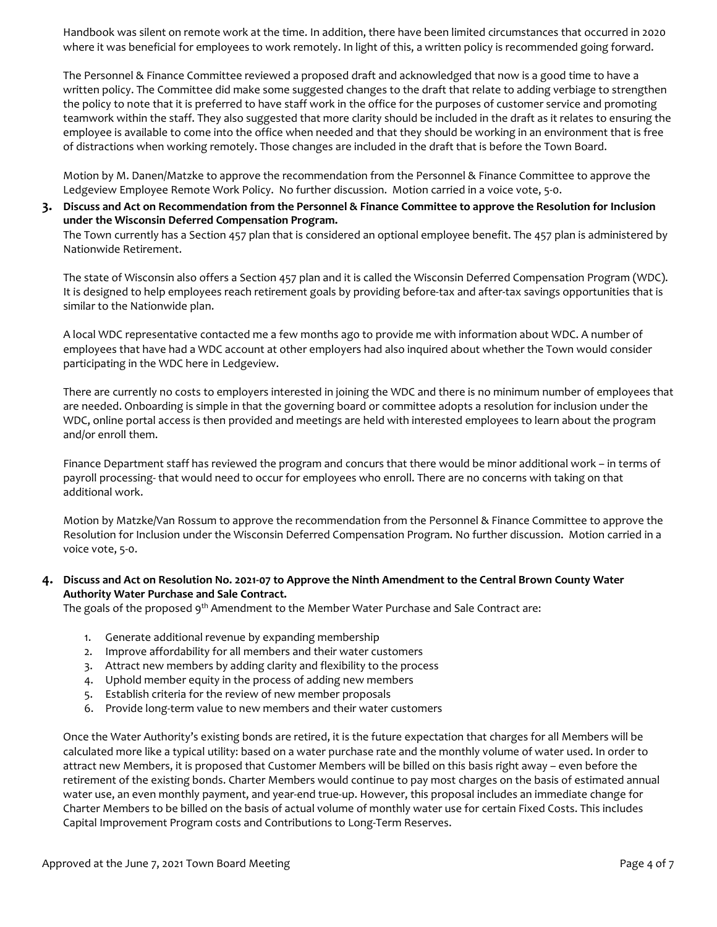Handbook was silent on remote work at the time. In addition, there have been limited circumstances that occurred in 2020 where it was beneficial for employees to work remotely. In light of this, a written policy is recommended going forward.

The Personnel & Finance Committee reviewed a proposed draft and acknowledged that now is a good time to have a written policy. The Committee did make some suggested changes to the draft that relate to adding verbiage to strengthen the policy to note that it is preferred to have staff work in the office for the purposes of customer service and promoting teamwork within the staff. They also suggested that more clarity should be included in the draft as it relates to ensuring the employee is available to come into the office when needed and that they should be working in an environment that is free of distractions when working remotely. Those changes are included in the draft that is before the Town Board.

Motion by M. Danen/Matzke to approve the recommendation from the Personnel & Finance Committee to approve the Ledgeview Employee Remote Work Policy. No further discussion. Motion carried in a voice vote, 5-0.

# **3. Discuss and Act on Recommendation from the Personnel & Finance Committee to approve the Resolution for Inclusion under the Wisconsin Deferred Compensation Program.**

The Town currently has a Section 457 plan that is considered an optional employee benefit. The 457 plan is administered by Nationwide Retirement.

The state of Wisconsin also offers a Section 457 plan and it is called the Wisconsin Deferred Compensation Program (WDC). It is designed to help employees reach retirement goals by providing before-tax and after-tax savings opportunities that is similar to the Nationwide plan.

A local WDC representative contacted me a few months ago to provide me with information about WDC. A number of employees that have had a WDC account at other employers had also inquired about whether the Town would consider participating in the WDC here in Ledgeview.

There are currently no costs to employers interested in joining the WDC and there is no minimum number of employees that are needed. Onboarding is simple in that the governing board or committee adopts a resolution for inclusion under the WDC, online portal access is then provided and meetings are held with interested employees to learn about the program and/or enroll them.

Finance Department staff has reviewed the program and concurs that there would be minor additional work – in terms of payroll processing- that would need to occur for employees who enroll. There are no concerns with taking on that additional work.

Motion by Matzke/Van Rossum to approve the recommendation from the Personnel & Finance Committee to approve the Resolution for Inclusion under the Wisconsin Deferred Compensation Program. No further discussion. Motion carried in a voice vote, 5-0.

# **4. Discuss and Act on Resolution No. 2021-07 to Approve the Ninth Amendment to the Central Brown County Water Authority Water Purchase and Sale Contract.**

The goals of the proposed 9<sup>th</sup> Amendment to the Member Water Purchase and Sale Contract are:

- 1. Generate additional revenue by expanding membership
- 2. Improve affordability for all members and their water customers
- 3. Attract new members by adding clarity and flexibility to the process
- 4. Uphold member equity in the process of adding new members
- 5. Establish criteria for the review of new member proposals
- 6. Provide long-term value to new members and their water customers

Once the Water Authority's existing bonds are retired, it is the future expectation that charges for all Members will be calculated more like a typical utility: based on a water purchase rate and the monthly volume of water used. In order to attract new Members, it is proposed that Customer Members will be billed on this basis right away – even before the retirement of the existing bonds. Charter Members would continue to pay most charges on the basis of estimated annual water use, an even monthly payment, and year-end true-up. However, this proposal includes an immediate change for Charter Members to be billed on the basis of actual volume of monthly water use for certain Fixed Costs. This includes Capital Improvement Program costs and Contributions to Long-Term Reserves.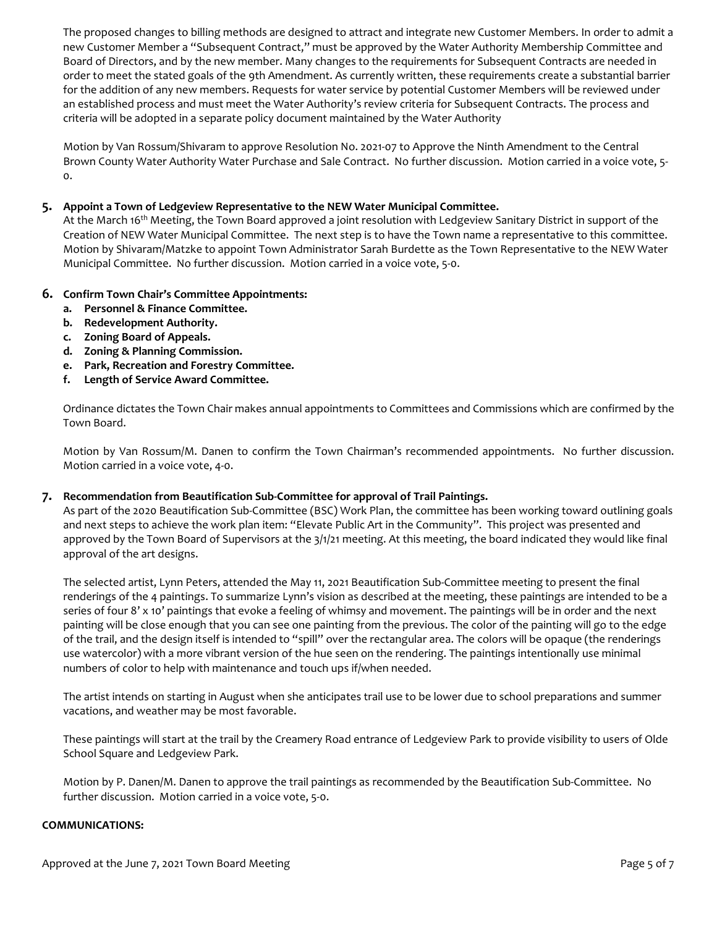The proposed changes to billing methods are designed to attract and integrate new Customer Members. In order to admit a new Customer Member a "Subsequent Contract," must be approved by the Water Authority Membership Committee and Board of Directors, and by the new member. Many changes to the requirements for Subsequent Contracts are needed in order to meet the stated goals of the 9th Amendment. As currently written, these requirements create a substantial barrier for the addition of any new members. Requests for water service by potential Customer Members will be reviewed under an established process and must meet the Water Authority's review criteria for Subsequent Contracts. The process and criteria will be adopted in a separate policy document maintained by the Water Authority

Motion by Van Rossum/Shivaram to approve Resolution No. 2021-07 to Approve the Ninth Amendment to the Central Brown County Water Authority Water Purchase and Sale Contract. No further discussion. Motion carried in a voice vote, 5- 0.

# **5. Appoint a Town of Ledgeview Representative to the NEW Water Municipal Committee.**

At the March 16<sup>th</sup> Meeting, the Town Board approved a joint resolution with Ledgeview Sanitary District in support of the Creation of NEW Water Municipal Committee. The next step is to have the Town name a representative to this committee. Motion by Shivaram/Matzke to appoint Town Administrator Sarah Burdette as the Town Representative to the NEW Water Municipal Committee. No further discussion. Motion carried in a voice vote, 5-0.

# **6. Confirm Town Chair's Committee Appointments:**

- **a. Personnel & Finance Committee.**
- **b. Redevelopment Authority.**
- **c. Zoning Board of Appeals.**
- **d. Zoning & Planning Commission.**
- **e. Park, Recreation and Forestry Committee.**
- **f. Length of Service Award Committee.**

Ordinance dictates the Town Chair makes annual appointments to Committees and Commissions which are confirmed by the Town Board.

Motion by Van Rossum/M. Danen to confirm the Town Chairman's recommended appointments. No further discussion. Motion carried in a voice vote, 4-0.

# **7. Recommendation from Beautification Sub-Committee for approval of Trail Paintings.**

As part of the 2020 Beautification Sub-Committee (BSC) Work Plan, the committee has been working toward outlining goals and next steps to achieve the work plan item: "Elevate Public Art in the Community". This project was presented and approved by the Town Board of Supervisors at the 3/1/21 meeting. At this meeting, the board indicated they would like final approval of the art designs.

The selected artist, Lynn Peters, attended the May 11, 2021 Beautification Sub-Committee meeting to present the final renderings of the 4 paintings. To summarize Lynn's vision as described at the meeting, these paintings are intended to be a series of four 8' x 10' paintings that evoke a feeling of whimsy and movement. The paintings will be in order and the next painting will be close enough that you can see one painting from the previous. The color of the painting will go to the edge of the trail, and the design itself is intended to "spill" over the rectangular area. The colors will be opaque (the renderings use watercolor) with a more vibrant version of the hue seen on the rendering. The paintings intentionally use minimal numbers of color to help with maintenance and touch ups if/when needed.

The artist intends on starting in August when she anticipates trail use to be lower due to school preparations and summer vacations, and weather may be most favorable.

These paintings will start at the trail by the Creamery Road entrance of Ledgeview Park to provide visibility to users of Olde School Square and Ledgeview Park.

Motion by P. Danen/M. Danen to approve the trail paintings as recommended by the Beautification Sub-Committee. No further discussion. Motion carried in a voice vote, 5-0.

#### **COMMUNICATIONS:**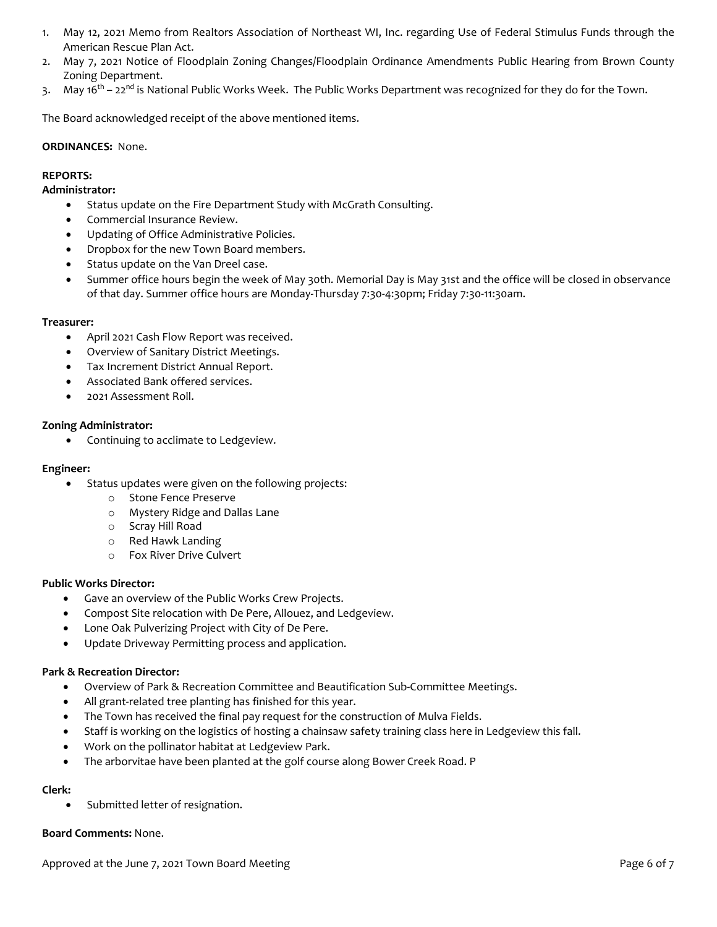- 1. May 12, 2021 Memo from Realtors Association of Northeast WI, Inc. regarding Use of Federal Stimulus Funds through the American Rescue Plan Act.
- 2. May 7, 2021 Notice of Floodplain Zoning Changes/Floodplain Ordinance Amendments Public Hearing from Brown County Zoning Department.
- 3. May 16<sup>th</sup> 22<sup>nd</sup> is National Public Works Week. The Public Works Department was recognized for they do for the Town.

The Board acknowledged receipt of the above mentioned items.

### **ORDINANCES:** None.

# **REPORTS:**

# **Administrator:**

- Status update on the Fire Department Study with McGrath Consulting.
- Commercial Insurance Review.
- Updating of Office Administrative Policies.
- Dropbox for the new Town Board members.
- Status update on the Van Dreel case.
- Summer office hours begin the week of May 30th. Memorial Day is May 31st and the office will be closed in observance of that day. Summer office hours are Monday-Thursday 7:30-4:30pm; Friday 7:30-11:30am.

### **Treasurer:**

- April 2021 Cash Flow Report was received.
- Overview of Sanitary District Meetings.
- Tax Increment District Annual Report.
- Associated Bank offered services.
- 2021 Assessment Roll.

### **Zoning Administrator:**

• Continuing to acclimate to Ledgeview.

### **Engineer:**

- Status updates were given on the following projects:
	- o Stone Fence Preserve
	- o Mystery Ridge and Dallas Lane
	- o Scray Hill Road
	- o Red Hawk Landing
	- o Fox River Drive Culvert

# **Public Works Director:**

- Gave an overview of the Public Works Crew Projects.
- Compost Site relocation with De Pere, Allouez, and Ledgeview.
- Lone Oak Pulverizing Project with City of De Pere.
- Update Driveway Permitting process and application.

# **Park & Recreation Director:**

- Overview of Park & Recreation Committee and Beautification Sub-Committee Meetings.
- All grant-related tree planting has finished for this year.
- The Town has received the final pay request for the construction of Mulva Fields.
- Staff is working on the logistics of hosting a chainsaw safety training class here in Ledgeview this fall.
- Work on the pollinator habitat at Ledgeview Park.
- The arborvitae have been planted at the golf course along Bower Creek Road. P

# **Clerk:**

• Submitted letter of resignation.

# **Board Comments:** None.